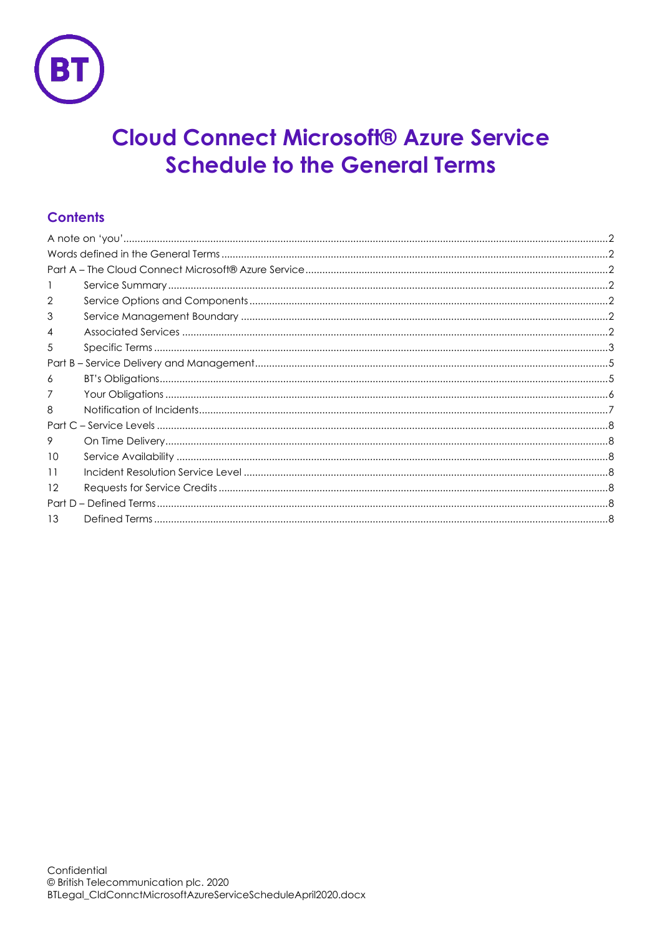

# **Cloud Connect Microsoft® Azure Service Schedule to the General Terms**

## **Contents**

| 2  |  |  |  |
|----|--|--|--|
| 3  |  |  |  |
| 4  |  |  |  |
| 5  |  |  |  |
|    |  |  |  |
| 6  |  |  |  |
|    |  |  |  |
| 8  |  |  |  |
|    |  |  |  |
| 9  |  |  |  |
| 10 |  |  |  |
| 11 |  |  |  |
| 12 |  |  |  |
|    |  |  |  |
| 13 |  |  |  |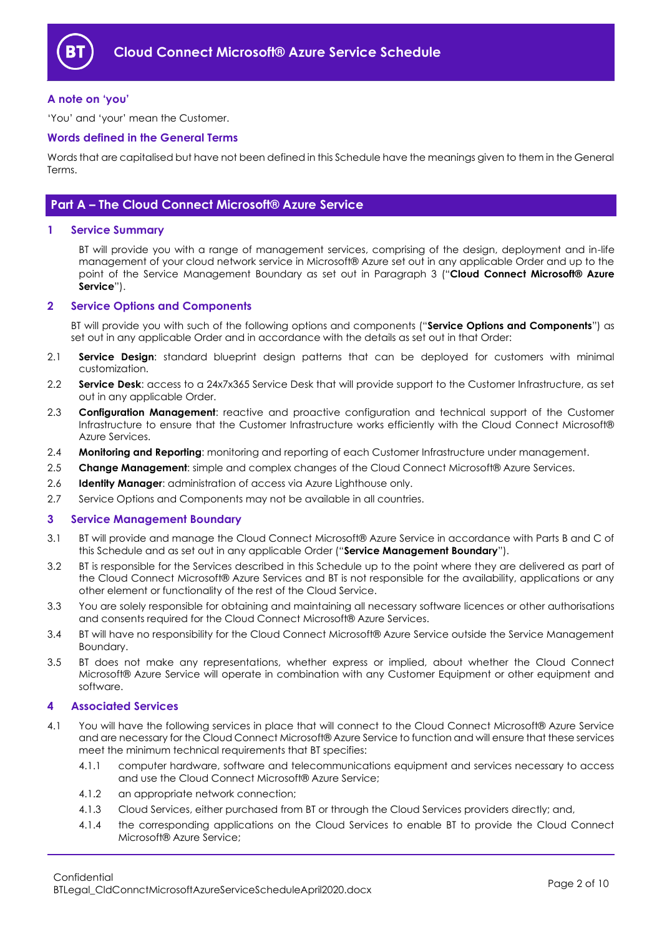

## <span id="page-1-0"></span>**A note on 'you'**

'You' and 'your' mean the Customer.

## <span id="page-1-1"></span>**Words defined in the General Terms**

Words that are capitalised but have not been defined in this Schedule have the meanings given to them in the General Terms.

## <span id="page-1-2"></span>**Part A – The Cloud Connect Microsoft® Azure Service**

#### <span id="page-1-3"></span>**1 Service Summary**

BT will provide you with a range of management services, comprising of the design, deployment and in-life management of your cloud network service in Microsoft® Azure set out in any applicable Order and up to the point of the Service Management Boundary as set out in Paragraph [3](#page-1-5) ("**Cloud Connect Microsoft® Azure Service**").

#### <span id="page-1-4"></span>**2 Service Options and Components**

BT will provide you with such of the following options and components ("**Service Options and Components**") as set out in any applicable Order and in accordance with the details as set out in that Order:

- <span id="page-1-12"></span>2.1 **Service Design**: standard blueprint design patterns that can be deployed for customers with minimal customization.
- <span id="page-1-13"></span>2.2 **Service Desk**: access to a 24x7x365 Service Desk that will provide support to the Customer Infrastructure, as set out in any applicable Order.
- <span id="page-1-8"></span>2.3 **Configuration Management**: reactive and proactive configuration and technical support of the Customer Infrastructure to ensure that the Customer Infrastructure works efficiently with the Cloud Connect Microsoft® Azure Services.
- <span id="page-1-11"></span>2.4 **Monitoring and Reporting**: monitoring and reporting of each Customer Infrastructure under management.
- <span id="page-1-7"></span>2.5 **Change Management**: simple and complex changes of the Cloud Connect Microsoft® Azure Services.
- <span id="page-1-10"></span>2.6 **Identity Manager**: administration of access via Azure Lighthouse only.
- 2.7 Service Options and Components may not be available in all countries.

## <span id="page-1-5"></span>**3 Service Management Boundary**

- 3.1 BT will provide and manage the Cloud Connect Microsoft® Azure Service in accordance with Parts B and C of this Schedule and as set out in any applicable Order ("**Service Management Boundary**").
- 3.2 BT is responsible for the Services described in this Schedule up to the point where they are delivered as part of the Cloud Connect Microsoft® Azure Services and BT is not responsible for the availability, applications or any other element or functionality of the rest of the Cloud Service.
- 3.3 You are solely responsible for obtaining and maintaining all necessary software licences or other authorisations and consents required for the Cloud Connect Microsoft® Azure Services.
- 3.4 BT will have no responsibility for the Cloud Connect Microsoft® Azure Service outside the Service Management Boundary.
- 3.5 BT does not make any representations, whether express or implied, about whether the Cloud Connect Microsoft® Azure Service will operate in combination with any Customer Equipment or other equipment and software.

#### <span id="page-1-6"></span>**4 Associated Services**

- <span id="page-1-9"></span>4.1 You will have the following services in place that will connect to the Cloud Connect Microsoft® Azure Service and are necessary for the Cloud Connect Microsoft® Azure Service to function and will ensure that these services meet the minimum technical requirements that BT specifies:
	- 4.1.1 computer hardware, software and telecommunications equipment and services necessary to access and use the Cloud Connect Microsoft® Azure Service;
	- 4.1.2 an appropriate network connection;
	- 4.1.3 Cloud Services, either purchased from BT or through the Cloud Services providers directly; and,
	- 4.1.4 the corresponding applications on the Cloud Services to enable BT to provide the Cloud Connect Microsoft® Azure Service;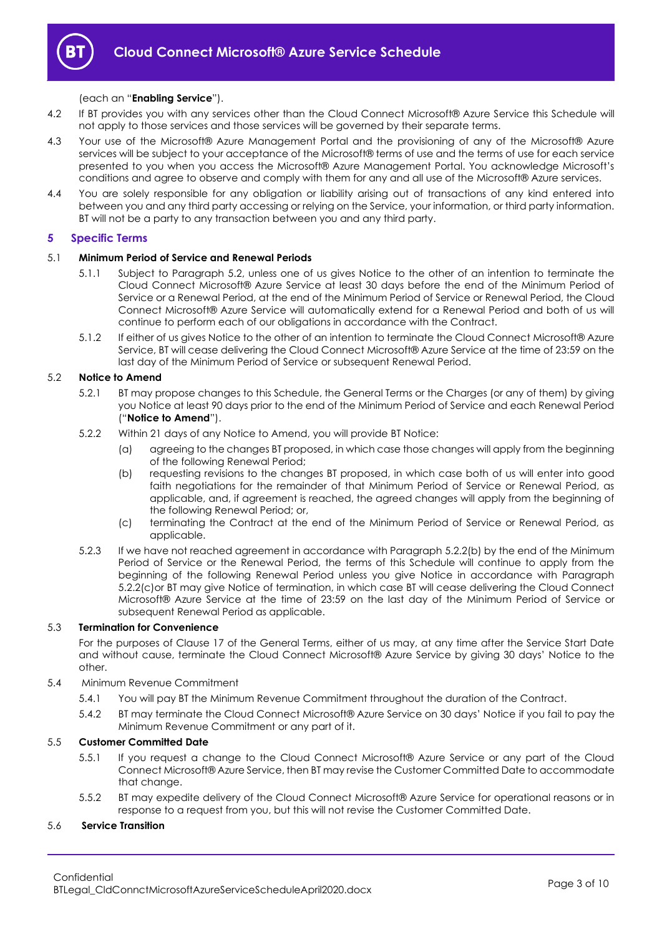

## (each an "**Enabling Service**").

- 4.2 If BT provides you with any services other than the Cloud Connect Microsoft® Azure Service this Schedule will not apply to those services and those services will be governed by their separate terms.
- 4.3 Your use of the Microsoft® Azure Management Portal and the provisioning of any of the Microsoft® Azure services will be subject to your acceptance of the Microsoft® terms of use and the terms of use for each service presented to you when you access the Microsoft® Azure Management Portal. You acknowledge Microsoft's conditions and agree to observe and comply with them for any and all use of the Microsoft® Azure services.
- 4.4 You are solely responsible for any obligation or liability arising out of transactions of any kind entered into between you and any third party accessing or relying on the Service, your information, or third party information. BT will not be a party to any transaction between you and any third party.

## <span id="page-2-0"></span>**5 Specific Terms**

## 5.1 **Minimum Period of Service and Renewal Periods**

- 5.1.1 Subject to Paragraph [5.2,](#page-2-1) unless one of us gives Notice to the other of an intention to terminate the Cloud Connect Microsoft® Azure Service at least 30 days before the end of the Minimum Period of Service or a Renewal Period, at the end of the Minimum Period of Service or Renewal Period, the Cloud Connect Microsoft® Azure Service will automatically extend for a Renewal Period and both of us will continue to perform each of our obligations in accordance with the Contract.
- 5.1.2 If either of us gives Notice to the other of an intention to terminate the Cloud Connect Microsoft® Azure Service, BT will cease delivering the Cloud Connect Microsoft® Azure Service at the time of 23:59 on the last day of the Minimum Period of Service or subsequent Renewal Period.

## <span id="page-2-1"></span>5.2 **Notice to Amend**

- 5.2.1 BT may propose changes to this Schedule, the General Terms or the Charges (or any of them) by giving you Notice at least 90 days prior to the end of the Minimum Period of Service and each Renewal Period ("**Notice to Amend**").
- <span id="page-2-2"></span>5.2.2 Within 21 days of any Notice to Amend, you will provide BT Notice:
	- (a) agreeing to the changes BT proposed, in which case those changes will apply from the beginning of the following Renewal Period;
	- (b) requesting revisions to the changes BT proposed, in which case both of us will enter into good faith negotiations for the remainder of that Minimum Period of Service or Renewal Period, as applicable, and, if agreement is reached, the agreed changes will apply from the beginning of the following Renewal Period; or,
	- (c) terminating the Contract at the end of the Minimum Period of Service or Renewal Period, as applicable.
- <span id="page-2-3"></span>5.2.3 If we have not reached agreement in accordance with Paragraph [5.2.2\(b\)](#page-2-2) by the end of the Minimum Period of Service or the Renewal Period, the terms of this Schedule will continue to apply from the beginning of the following Renewal Period unless you give Notice in accordance with Paragraph [5.2.2\(c\)o](#page-2-3)r BT may give Notice of termination, in which case BT will cease delivering the Cloud Connect Microsoft® Azure Service at the time of 23:59 on the last day of the Minimum Period of Service or subsequent Renewal Period as applicable.

## 5.3 **Termination for Convenience**

For the purposes of Clause 17 of the General Terms, either of us may, at any time after the Service Start Date and without cause, terminate the Cloud Connect Microsoft® Azure Service by giving 30 days' Notice to the other.

- 5.4 Minimum Revenue Commitment
	- 5.4.1 You will pay BT the Minimum Revenue Commitment throughout the duration of the Contract.
	- 5.4.2 BT may terminate the Cloud Connect Microsoft® Azure Service on 30 days' Notice if you fail to pay the Minimum Revenue Commitment or any part of it.

## 5.5 **Customer Committed Date**

- 5.5.1 If you request a change to the Cloud Connect Microsoft® Azure Service or any part of the Cloud Connect Microsoft® Azure Service, then BT may revise the Customer Committed Date to accommodate that change.
- 5.5.2 BT may expedite delivery of the Cloud Connect Microsoft® Azure Service for operational reasons or in response to a request from you, but this will not revise the Customer Committed Date.

## 5.6 **Service Transition**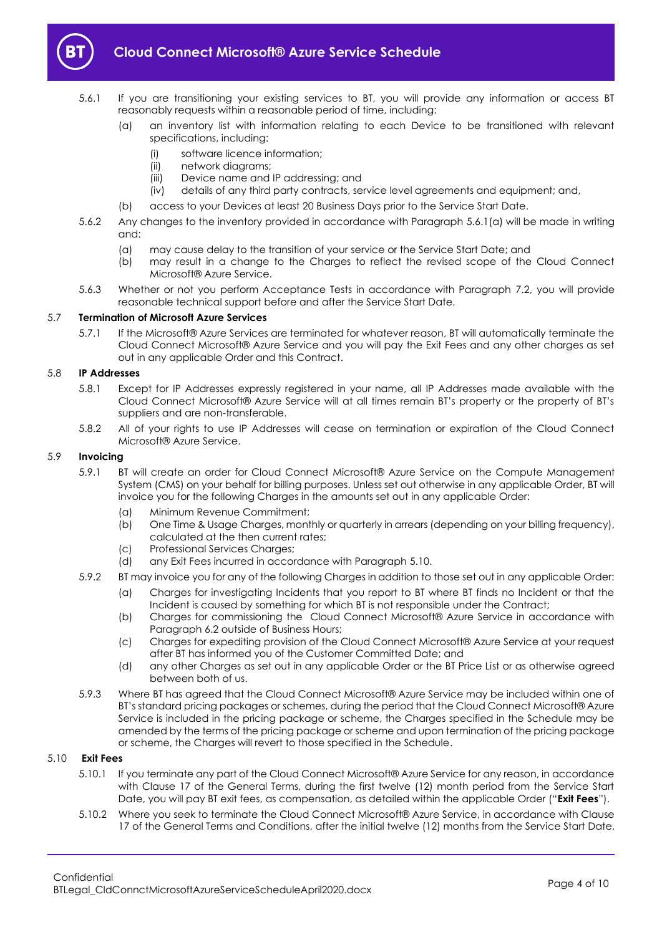

- <span id="page-3-0"></span>5.6.1 If you are transitioning your existing services to BT, you will provide any information or access BT reasonably requests within a reasonable period of time, including:
	- (a) an inventory list with information relating to each Device to be transitioned with relevant specifications, including:
		- (i) software licence information;
		- (ii) network diagrams;
		- (iii) Device name and IP addressing; and
		- (iv) details of any third party contracts, service level agreements and equipment; and,
	- (b) access to your Devices at least 20 Business Days prior to the Service Start Date.
- 5.6.2 Any changes to the inventory provided in accordance with Paragraph [5.6.1\(a\)](#page-3-0) will be made in writing and:
	- (a) may cause delay to the transition of your service or the Service Start Date; and
	- (b) may result in a change to the Charges to reflect the revised scope of the Cloud Connect Microsoft® Azure Service.
- 5.6.3 Whether or not you perform Acceptance Tests in accordance with Paragraph [7.2,](#page-5-1) you will provide reasonable technical support before and after the Service Start Date.

#### 5.7 **Termination of Microsoft Azure Services**

5.7.1 If the Microsoft® Azure Services are terminated for whatever reason, BT will automatically terminate the Cloud Connect Microsoft® Azure Service and you will pay the Exit Fees and any other charges as set out in any applicable Order and this Contract.

## 5.8 **IP Addresses**

- 5.8.1 Except for IP Addresses expressly registered in your name, all IP Addresses made available with the Cloud Connect Microsoft® Azure Service will at all times remain BT's property or the property of BT's suppliers and are non-transferable.
- 5.8.2 All of your rights to use IP Addresses will cease on termination or expiration of the Cloud Connect Microsoft® Azure Service.

#### 5.9 **Invoicing**

- 5.9.1 BT will create an order for Cloud Connect Microsoft® Azure Service on the Compute Management System (CMS) on your behalf for billing purposes. Unless set out otherwise in any applicable Order, BT will invoice you for the following Charges in the amounts set out in any applicable Order:
	- (a) Minimum Revenue Commitment;
	- (b) One Time & Usage Charges, monthly or quarterly in arrears (depending on your billing frequency), calculated at the then current rates;
	- (c) Professional Services Charges;
	- (d) any Exit Fees incurred in accordance with Paragraph [5.10.](#page-3-1)
- 5.9.2 BT may invoice you for any of the following Charges in addition to those set out in any applicable Order:
	- (a) Charges for investigating Incidents that you report to BT where BT finds no Incident or that the Incident is caused by something for which BT is not responsible under the Contract;
	- (b) Charges for commissioning the Cloud Connect Microsoft® Azure Service in accordance with Paragraph [6.2](#page-4-2) outside of Business Hours;
	- (c) Charges for expediting provision of the Cloud Connect Microsoft® Azure Service at your request after BT has informed you of the Customer Committed Date; and
	- (d) any other Charges as set out in any applicable Order or the BT Price List or as otherwise agreed between both of us.
- 5.9.3 Where BT has agreed that the Cloud Connect Microsoft® Azure Service may be included within one of BT's standard pricing packages or schemes, during the period that the Cloud Connect Microsoft® Azure Service is included in the pricing package or scheme, the Charges specified in the Schedule may be amended by the terms of the pricing package or scheme and upon termination of the pricing package or scheme, the Charges will revert to those specified in the Schedule.

## 5.10 **Exit Fees**

- <span id="page-3-1"></span>5.10.1 If you terminate any part of the Cloud Connect Microsoft® Azure Service for any reason, in accordance with Clause 17 of the General Terms, during the first twelve (12) month period from the Service Start Date, you will pay BT exit fees, as compensation, as detailed within the applicable Order ("**Exit Fees**").
- 5.10.2 Where you seek to terminate the Cloud Connect Microsoft® Azure Service, in accordance with Clause 17 of the General Terms and Conditions, after the initial twelve (12) months from the Service Start Date,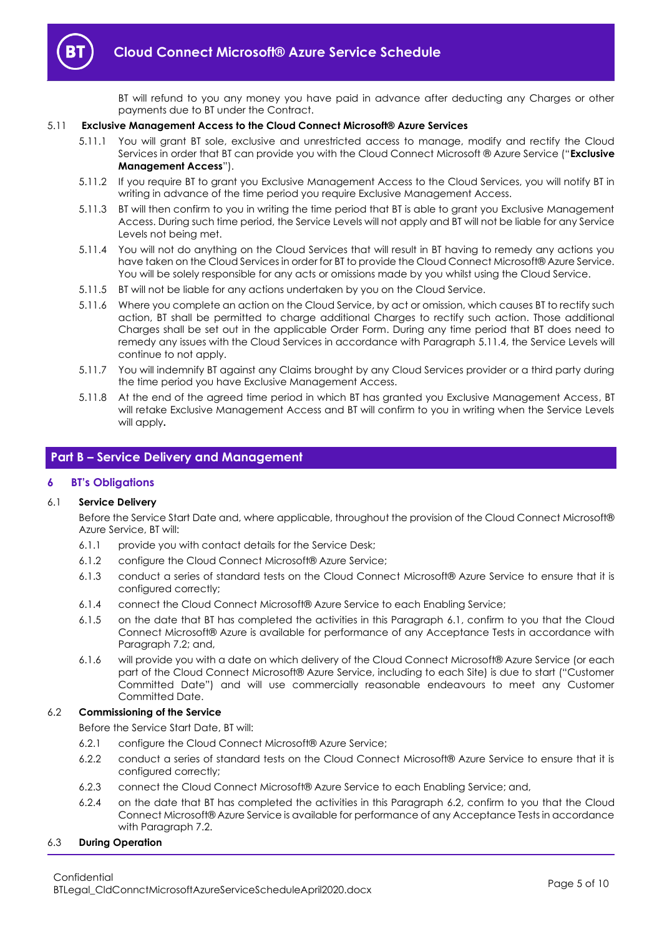

BT will refund to you any money you have paid in advance after deducting any Charges or other payments due to BT under the Contract.

## 5.11 **Exclusive Management Access to the Cloud Connect Microsoft® Azure Services**

- <span id="page-4-7"></span>5.11.1 You will grant BT sole, exclusive and unrestricted access to manage, modify and rectify the Cloud Services in order that BT can provide you with the Cloud Connect Microsoft ® Azure Service ("**Exclusive Management Access**").
- 5.11.2 If you require BT to grant you Exclusive Management Access to the Cloud Services, you will notify BT in writing in advance of the time period you require Exclusive Management Access.
- 5.11.3 BT will then confirm to you in writing the time period that BT is able to grant you Exclusive Management Access. During such time period, the Service Levels will not apply and BT will not be liable for any Service Levels not being met.
- <span id="page-4-3"></span>5.11.4 You will not do anything on the Cloud Services that will result in BT having to remedy any actions you have taken on the Cloud Services in order for BT to provide the Cloud Connect Microsoft® Azure Service. You will be solely responsible for any acts or omissions made by you whilst using the Cloud Service.
- 5.11.5 BT will not be liable for any actions undertaken by you on the Cloud Service.
- 5.11.6 Where you complete an action on the Cloud Service, by act or omission, which causes BT to rectify such action, BT shall be permitted to charge additional Charges to rectify such action. Those additional Charges shall be set out in the applicable Order Form. During any time period that BT does need to remedy any issues with the Cloud Services in accordance with Paragraph [5.11.4,](#page-4-3) the Service Levels will continue to not apply.
- 5.11.7 You will indemnify BT against any Claims brought by any Cloud Services provider or a third party during the time period you have Exclusive Management Access.
- 5.11.8 At the end of the agreed time period in which BT has granted you Exclusive Management Access, BT will retake Exclusive Management Access and BT will confirm to you in writing when the Service Levels will apply**.**

## <span id="page-4-0"></span>**Part B – Service Delivery and Management**

## <span id="page-4-1"></span>**6 BT's Obligations**

## <span id="page-4-4"></span>6.1 **Service Delivery**

Before the Service Start Date and, where applicable, throughout the provision of the Cloud Connect Microsoft® Azure Service, BT will:

- 6.1.1 provide you with contact details for the Service Desk;
- 6.1.2 configure the Cloud Connect Microsoft® Azure Service;
- 6.1.3 conduct a series of standard tests on the Cloud Connect Microsoft® Azure Service to ensure that it is configured correctly;
- 6.1.4 connect the Cloud Connect Microsoft® Azure Service to each Enabling Service;
- 6.1.5 on the date that BT has completed the activities in this Paragraph [6.1,](#page-4-4) confirm to you that the Cloud Connect Microsoft® Azure is available for performance of any Acceptance Tests in accordance with Paragraph 7.2; and,
- <span id="page-4-6"></span>6.1.6 will provide you with a date on which delivery of the Cloud Connect Microsoft® Azure Service (or each part of the Cloud Connect Microsoft® Azure Service, including to each Site) is due to start ("Customer Committed Date") and will use commercially reasonable endeavours to meet any Customer Committed Date.

## <span id="page-4-2"></span>6.2 **Commissioning of the Service**

Before the Service Start Date, BT will:

- 6.2.1 configure the Cloud Connect Microsoft® Azure Service;
- 6.2.2 conduct a series of standard tests on the Cloud Connect Microsoft® Azure Service to ensure that it is configured correctly;
- 6.2.3 connect the Cloud Connect Microsoft® Azure Service to each Enabling Service; and,
- <span id="page-4-5"></span>6.2.4 on the date that BT has completed the activities in this Paragraph [6.2,](#page-4-2) confirm to you that the Cloud Connect Microsoft® Azure Service is available for performance of any Acceptance Tests in accordance with Paragraph [7.2.](#page-5-1)

## 6.3 **During Operation**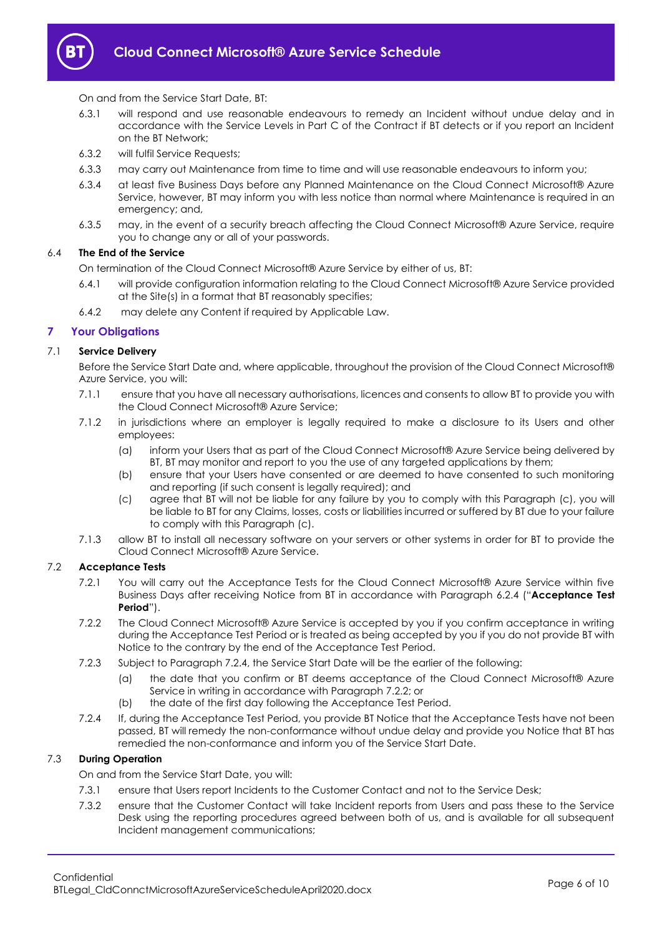

On and from the Service Start Date, BT:

- <span id="page-5-4"></span>6.3.1 will respond and use reasonable endeavours to remedy an Incident without undue delay and in accordance with the Service Levels in Part C of the Contract if BT detects or if you report an Incident on the BT Network;
- 6.3.2 will fulfil Service Requests;
- 6.3.3 may carry out Maintenance from time to time and will use reasonable endeavours to inform you;
- 6.3.4 at least five Business Days before any Planned Maintenance on the Cloud Connect Microsoft® Azure Service, however, BT may inform you with less notice than normal where Maintenance is required in an emergency; and,
- 6.3.5 may, in the event of a security breach affecting the Cloud Connect Microsoft® Azure Service, require you to change any or all of your passwords.

## 6.4 **The End of the Service**

On termination of the Cloud Connect Microsoft® Azure Service by either of us, BT:

- 6.4.1 will provide configuration information relating to the Cloud Connect Microsoft® Azure Service provided at the Site(s) in a format that BT reasonably specifies;
- 6.4.2 may delete any Content if required by Applicable Law.

## <span id="page-5-0"></span>**7 Your Obligations**

## 7.1 **Service Delivery**

Before the Service Start Date and, where applicable, throughout the provision of the Cloud Connect Microsoft® Azure Service, you will:

- 7.1.1 ensure that you have all necessary authorisations, licences and consents to allow BT to provide you with the Cloud Connect Microsoft® Azure Service;
- 7.1.2 in jurisdictions where an employer is legally required to make a disclosure to its Users and other employees:
	- (a) inform your Users that as part of the Cloud Connect Microsoft® Azure Service being delivered by BT, BT may monitor and report to you the use of any targeted applications by them;
	- (b) ensure that your Users have consented or are deemed to have consented to such monitoring and reporting (if such consent is legally required); and
	- (c) agree that BT will not be liable for any failure by you to comply with this Paragraph [\(c\),](#page-5-2) you will be liable to BT for any Claims, losses, costs or liabilities incurred or suffered by BT due to your failure to comply with this Paragrap[h \(c\).](#page-5-2)
- <span id="page-5-2"></span>7.1.3 allow BT to install all necessary software on your servers or other systems in order for BT to provide the Cloud Connect Microsoft® Azure Service.

## <span id="page-5-1"></span>7.2 **Acceptance Tests**

- 7.2.1 You will carry out the Acceptance Tests for the Cloud Connect Microsoft® Azure Service within five Business Days after receiving Notice from BT in accordance with Paragraph [6.2.4](#page-4-5) ("**Acceptance Test Period**").
- <span id="page-5-3"></span>7.2.2 The Cloud Connect Microsoft® Azure Service is accepted by you if you confirm acceptance in writing during the Acceptance Test Period or is treated as being accepted by you if you do not provide BT with Notice to the contrary by the end of the Acceptance Test Period.
- 7.2.3 Subject to Paragraph 7.2.4, the Service Start Date will be the earlier of the following:
	- (a) the date that you confirm or BT deems acceptance of the Cloud Connect Microsoft® Azure Service in writing in accordance with Paragraph [7.2.2;](#page-5-3) or
	- (b) the date of the first day following the Acceptance Test Period.
- 7.2.4 If, during the Acceptance Test Period, you provide BT Notice that the Acceptance Tests have not been passed, BT will remedy the non-conformance without undue delay and provide you Notice that BT has remedied the non-conformance and inform you of the Service Start Date.

## 7.3 **During Operation**

On and from the Service Start Date, you will:

- 7.3.1 ensure that Users report Incidents to the Customer Contact and not to the Service Desk;
- 7.3.2 ensure that the Customer Contact will take Incident reports from Users and pass these to the Service Desk using the reporting procedures agreed between both of us, and is available for all subsequent Incident management communications;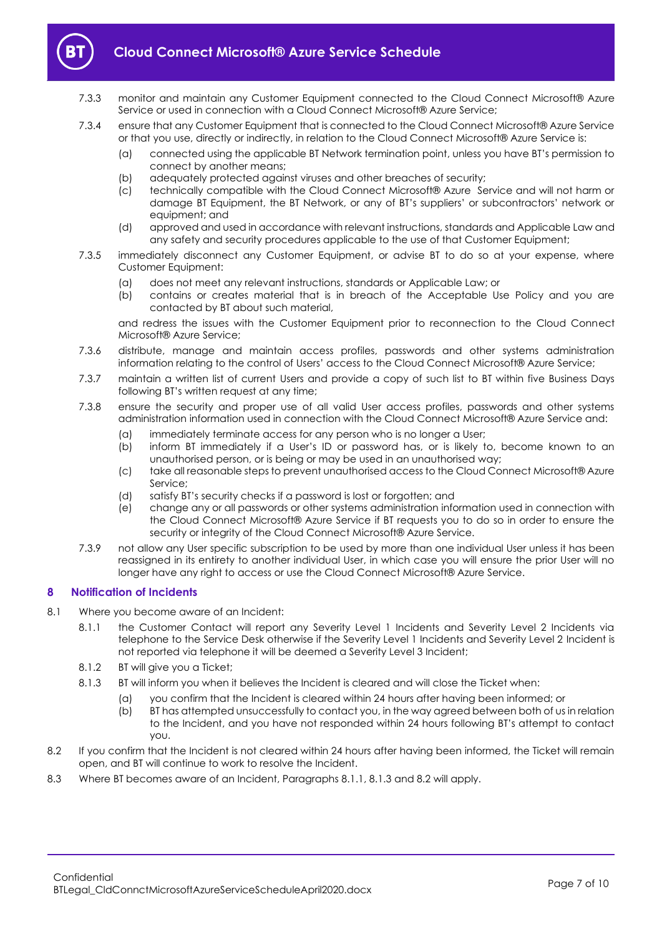

- 7.3.3 monitor and maintain any Customer Equipment connected to the Cloud Connect Microsoft® Azure Service or used in connection with a Cloud Connect Microsoft® Azure Service;
- 7.3.4 ensure that any Customer Equipment that is connected to the Cloud Connect Microsoft® Azure Service or that you use, directly or indirectly, in relation to the Cloud Connect Microsoft® Azure Service is:
	- (a) connected using the applicable BT Network termination point, unless you have BT's permission to connect by another means;
	- (b) adequately protected against viruses and other breaches of security;
	- (c) technically compatible with the Cloud Connect Microsoft® Azure Service and will not harm or damage BT Equipment, the BT Network, or any of BT's suppliers' or subcontractors' network or equipment; and
	- (d) approved and used in accordance with relevant instructions, standards and Applicable Law and any safety and security procedures applicable to the use of that Customer Equipment;
- 7.3.5 immediately disconnect any Customer Equipment, or advise BT to do so at your expense, where Customer Equipment:
	- (a) does not meet any relevant instructions, standards or Applicable Law; or
	- (b) contains or creates material that is in breach of the Acceptable Use Policy and you are contacted by BT about such material,

and redress the issues with the Customer Equipment prior to reconnection to the Cloud Connect Microsoft® Azure Service;

- 7.3.6 distribute, manage and maintain access profiles, passwords and other systems administration information relating to the control of Users' access to the Cloud Connect Microsoft® Azure Service;
- 7.3.7 maintain a written list of current Users and provide a copy of such list to BT within five Business Days following BT's written request at any time;
- 7.3.8 ensure the security and proper use of all valid User access profiles, passwords and other systems administration information used in connection with the Cloud Connect Microsoft® Azure Service and:
	- (a) immediately terminate access for any person who is no longer a User;
	- (b) inform BT immediately if a User's ID or password has, or is likely to, become known to an unauthorised person, or is being or may be used in an unauthorised way;
	- (c) take all reasonable steps to prevent unauthorised access to the Cloud Connect Microsoft® Azure Service;
	- (d) satisfy BT's security checks if a password is lost or forgotten; and
	- (e) change any or all passwords or other systems administration information used in connection with the Cloud Connect Microsoft® Azure Service if BT requests you to do so in order to ensure the security or integrity of the Cloud Connect Microsoft® Azure Service.
- 7.3.9 not allow any User specific subscription to be used by more than one individual User unless it has been reassigned in its entirety to another individual User, in which case you will ensure the prior User will no longer have any right to access or use the Cloud Connect Microsoft® Azure Service.

## <span id="page-6-0"></span>**8 Notification of Incidents**

- <span id="page-6-1"></span>8.1 Where you become aware of an Incident:
	- 8.1.1 the Customer Contact will report any Severity Level 1 Incidents and Severity Level 2 Incidents via telephone to the Service Desk otherwise if the Severity Level 1 Incidents and Severity Level 2 Incident is not reported via telephone it will be deemed a Severity Level 3 Incident;
	- 8.1.2 BT will give you a Ticket;
	- 8.1.3 BT will inform you when it believes the Incident is cleared and will close the Ticket when:
		- (a) you confirm that the Incident is cleared within 24 hours after having been informed; or
		- (b) BT has attempted unsuccessfully to contact you, in the way agreed between both of us in relation to the Incident, and you have not responded within 24 hours following BT's attempt to contact you.
- <span id="page-6-3"></span><span id="page-6-2"></span>8.2 If you confirm that the Incident is not cleared within 24 hours after having been informed, the Ticket will remain open, and BT will continue to work to resolve the Incident.
- 8.3 Where BT becomes aware of an Incident, Paragraphs [8.1.1,](#page-6-1) [8.1.3](#page-6-2) and [8.2](#page-6-3) will apply.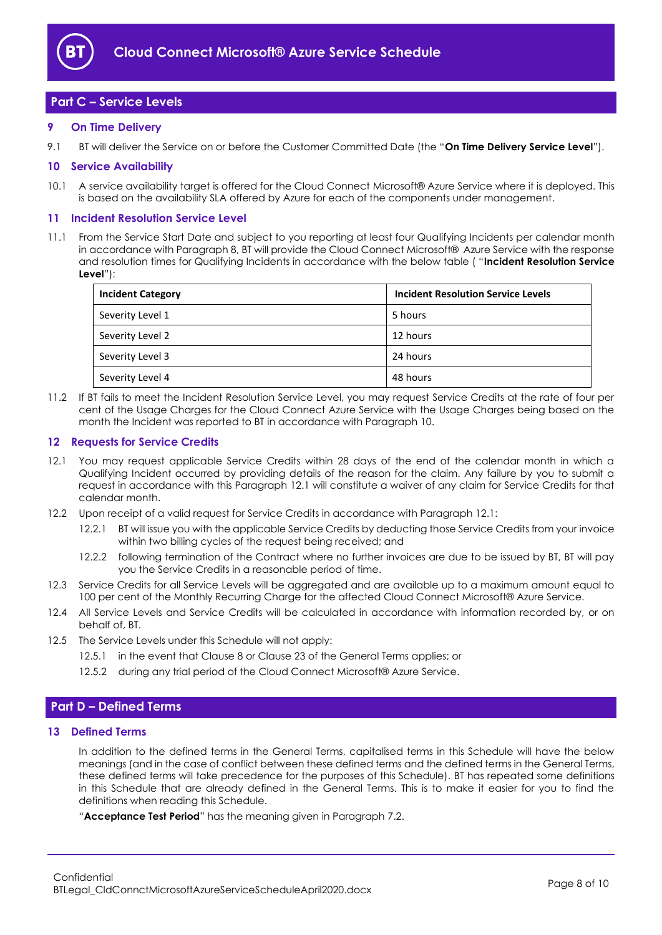

## <span id="page-7-0"></span>**Part C – Service Levels**

## <span id="page-7-1"></span>**9 On Time Delivery**

9.1 BT will deliver the Service on or before the Customer Committed Date (the "**On Time Delivery Service Level**").

## <span id="page-7-2"></span>**10 Service Availability**

10.1 A service availability target is offered for the Cloud Connect Microsoft® Azure Service where it is deployed. This is based on the availability SLA offered by Azure for each of the components under management.

## <span id="page-7-3"></span>**11 Incident Resolution Service Level**

<span id="page-7-8"></span>11.1 From the Service Start Date and subject to you reporting at least four Qualifying Incidents per calendar month in accordance with Paragraph 8, BT will provide the Cloud Connect Microsoft® Azure Service with the response and resolution times for Qualifying Incidents in accordance with the below table ( "**Incident Resolution Service Level**"):

| <b>Incident Category</b> | <b>Incident Resolution Service Levels</b> |
|--------------------------|-------------------------------------------|
| Severity Level 1         | 5 hours                                   |
| Severity Level 2         | 12 hours                                  |
| Severity Level 3         | 24 hours                                  |
| Severity Level 4         | 48 hours                                  |

11.2 If BT fails to meet the Incident Resolution Service Level, you may request Service Credits at the rate of four per cent of the Usage Charges for the Cloud Connect Azure Service with the Usage Charges being based on the month the Incident was reported to BT in accordance with Paragraph [10.](#page-7-2)

## <span id="page-7-4"></span>**12 Requests for Service Credits**

- <span id="page-7-7"></span>12.1 You may request applicable Service Credits within 28 days of the end of the calendar month in which a Qualifying Incident occurred by providing details of the reason for the claim. Any failure by you to submit a request in accordance with this Paragraph [12.1](#page-7-7) will constitute a waiver of any claim for Service Credits for that calendar month.
- 12.2 Upon receipt of a valid request for Service Credits in accordance with Paragrap[h 12.1:](#page-7-7)
	- 12.2.1 BT will issue you with the applicable Service Credits by deducting those Service Credits from your invoice within two billing cycles of the request being received; and
	- 12.2.2 following termination of the Contract where no further invoices are due to be issued by BT, BT will pay you the Service Credits in a reasonable period of time.
- 12.3 Service Credits for all Service Levels will be aggregated and are available up to a maximum amount equal to 100 per cent of the Monthly Recurring Charge for the affected Cloud Connect Microsoft® Azure Service.
- 12.4 All Service Levels and Service Credits will be calculated in accordance with information recorded by, or on behalf of, BT.
- 12.5 The Service Levels under this Schedule will not apply:
	- 12.5.1 in the event that Clause 8 or Clause 23 of the General Terms applies; or
	- 12.5.2 during any trial period of the Cloud Connect Microsoft® Azure Service.

## <span id="page-7-5"></span>**Part D – Defined Terms**

## <span id="page-7-6"></span>**13 Defined Terms**

In addition to the defined terms in the General Terms, capitalised terms in this Schedule will have the below meanings (and in the case of conflict between these defined terms and the defined terms in the General Terms, these defined terms will take precedence for the purposes of this Schedule). BT has repeated some definitions in this Schedule that are already defined in the General Terms. This is to make it easier for you to find the definitions when reading this Schedule.

"**Acceptance Test Period**" has the meaning given in Paragraph 7.2.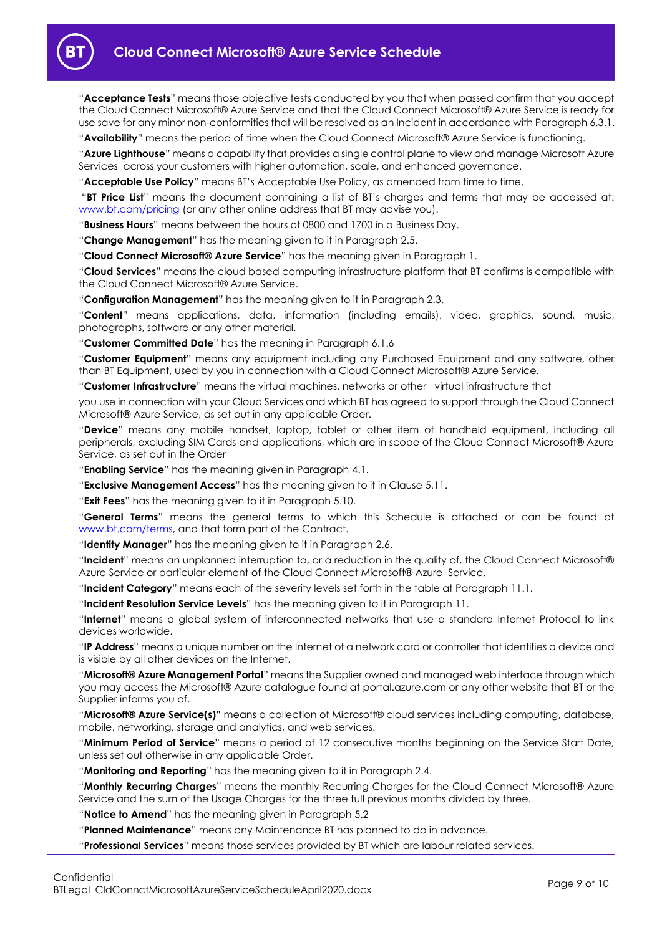

"**Acceptance Tests**" means those objective tests conducted by you that when passed confirm that you accept the Cloud Connect Microsoft® Azure Service and that the Cloud Connect Microsoft® Azure Service is ready for use save for any minor non-conformities that will be resolved as an Incident in accordance with Paragrap[h 6.3.1.](#page-5-4)

"**Availability**" means the period of time when the Cloud Connect Microsoft® Azure Service is functioning.

"**Azure Lighthouse**" means a capability that provides a single control plane to view and manage Microsoft Azure Services across your customers with higher automation, scale, and enhanced governance.

"**Acceptable Use Policy**" means BT's Acceptable Use Policy, as amended from time to time.

"**BT Price List**" means the document containing a list of BT's charges and terms that may be accessed at: [www.bt.com/pricing](http://www.bt.com/pricing) (or any other online address that BT may advise you).

"**Business Hours**" means between the hours of 0800 and 1700 in a Business Day.

"**Change Management**" has the meaning given to it in Paragraph [2.5.](#page-1-7)

"**Cloud Connect Microsoft® Azure Service**" has the meaning given in Paragraph [1.](#page-1-3)

"**Cloud Services**" means the cloud based computing infrastructure platform that BT confirms is compatible with the Cloud Connect Microsoft® Azure Service.

"**Configuration Management**" has the meaning given to it in Paragraph [2.3.](#page-1-8)

"**Content**" means applications, data, information (including emails), video, graphics, sound, music, photographs, software or any other material.

"**Customer Committed Date**" has the meaning in Paragraph [6.1.6](#page-4-6)

"**Customer Equipment**" means any equipment including any Purchased Equipment and any software, other than BT Equipment, used by you in connection with a Cloud Connect Microsoft® Azure Service.

"**Customer Infrastructure**" means the virtual machines, networks or other virtual infrastructure that

you use in connection with your Cloud Services and which BT has agreed to support through the Cloud Connect Microsoft® Azure Service, as set out in any applicable Order.

"**Device**" means any mobile handset, laptop, tablet or other item of handheld equipment, including all peripherals, excluding SIM Cards and applications, which are in scope of the Cloud Connect Microsoft® Azure Service, as set out in the Order

"**Enabling Service**" has the meaning given in Paragraph [4.1.](#page-1-9)

"**Exclusive Management Access**" has the meaning given to it in Clause [5.11.](#page-4-7)

"**Exit Fees**" has the meaning given to it in Paragraph [5.10.](#page-3-1)

"**General Terms**" means the general terms to which this Schedule is attached or can be found at [www.bt.com/terms,](http://www.bt.com/terms) and that form part of the Contract.

"**Identity Manager**" has the meaning given to it in Paragraph [2.6.](#page-1-10)

"**Incident**" means an unplanned interruption to, or a reduction in the quality of, the Cloud Connect Microsoft® Azure Service or particular element of the Cloud Connect Microsoft® Azure Service.

"**Incident Category**" means each of the severity levels set forth in the table at Paragraph [11.1.](#page-7-8)

"**Incident Resolution Service Levels**" has the meaning given to it in Paragraph [11.](#page-7-3) 

"**Internet**" means a global system of interconnected networks that use a standard Internet Protocol to link devices worldwide.

"**IP Address**" means a unique number on the Internet of a network card or controller that identifies a device and is visible by all other devices on the Internet.

"**Microsoft® Azure Management Portal**" means the Supplier owned and managed web interface through which you may access the Microsoft® Azure catalogue found at portal.azure.com or any other website that BT or the Supplier informs you of.

"**Microsoft® Azure Service(s)"** means a collection of Microsoft® cloud services including computing, database, mobile, networking, storage and analytics, and web services.

"**Minimum Period of Service**" means a period of 12 consecutive months beginning on the Service Start Date, unless set out otherwise in any applicable Order.

"**Monitoring and Reporting**" has the meaning given to it in Paragraph [2.4.](#page-1-11)

"**Monthly Recurring Charges**" means the monthly Recurring Charges for the Cloud Connect Microsoft® Azure Service and the sum of the Usage Charges for the three full previous months divided by three.

"**Notice to Amend**" has the meaning given in Paragraph [5.2](#page-2-1)

"**Planned Maintenance**" means any Maintenance BT has planned to do in advance.

"**Professional Services**" means those services provided by BT which are labour related services.